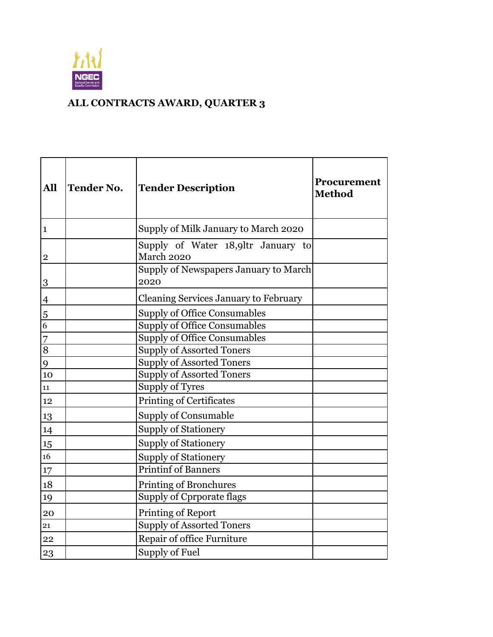

## **ALL CONTRACTS AWARD, QUARTER 3**

| All                     | <b>Tender No.</b> | <b>Tender Description</b>                        | <b>Procurement</b><br><b>Method</b> |  |  |  |
|-------------------------|-------------------|--------------------------------------------------|-------------------------------------|--|--|--|
| $\mathbf{1}$            |                   | Supply of Milk January to March 2020             |                                     |  |  |  |
| $\overline{\mathbf{c}}$ |                   | Supply of Water 18,9ltr January to<br>March 2020 |                                     |  |  |  |
| 3                       |                   | Supply of Newspapers January to March<br>2020    |                                     |  |  |  |
| $\overline{4}$          |                   | Cleaning Services January to February            |                                     |  |  |  |
|                         |                   | <b>Supply of Office Consumables</b>              |                                     |  |  |  |
| $\frac{5}{6}$           |                   | <b>Supply of Office Consumables</b>              |                                     |  |  |  |
| $\overline{7}$          |                   | <b>Supply of Office Consumables</b>              |                                     |  |  |  |
| $\overline{8}$          |                   | <b>Supply of Assorted Toners</b>                 |                                     |  |  |  |
| 9                       |                   | <b>Supply of Assorted Toners</b>                 |                                     |  |  |  |
| 10                      |                   | <b>Supply of Assorted Toners</b>                 |                                     |  |  |  |
| 11                      |                   | <b>Supply of Tyres</b>                           |                                     |  |  |  |
| 12                      |                   | Printing of Certificates                         |                                     |  |  |  |
| 13                      |                   | <b>Supply of Consumable</b>                      |                                     |  |  |  |
| 14                      |                   | <b>Supply of Stationery</b>                      |                                     |  |  |  |
| 15                      |                   | <b>Supply of Stationery</b>                      |                                     |  |  |  |
| 16                      |                   | <b>Supply of Stationery</b>                      |                                     |  |  |  |
| 17                      |                   | <b>Printinf of Banners</b>                       |                                     |  |  |  |
| 18                      |                   | <b>Printing of Bronchures</b>                    |                                     |  |  |  |
| 19                      |                   | <b>Supply of Cprporate flags</b>                 |                                     |  |  |  |
| 20                      |                   | Printing of Report                               |                                     |  |  |  |
| 21                      |                   | <b>Supply of Assorted Toners</b>                 |                                     |  |  |  |
| 22                      |                   | Repair of office Furniture                       |                                     |  |  |  |
| 23                      |                   | Supply of Fuel                                   |                                     |  |  |  |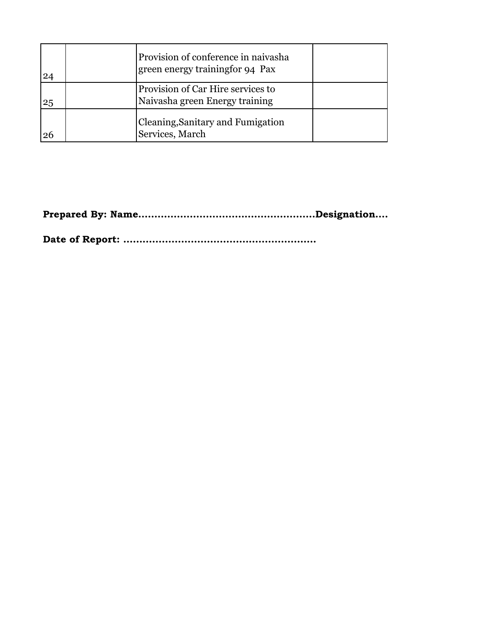| 24 | Provision of conference in naivasha<br>green energy trainingfor 94 Pax |  |
|----|------------------------------------------------------------------------|--|
| 25 | Provision of Car Hire services to<br>Naivasha green Energy training    |  |
| 26 | <b>Cleaning, Sanitary and Fumigation</b><br>Services, March            |  |

**Prepared By: Name……………………………………………….Designation…..………………………………….Signature……………….**

**Date of Report: ……………………………………………………**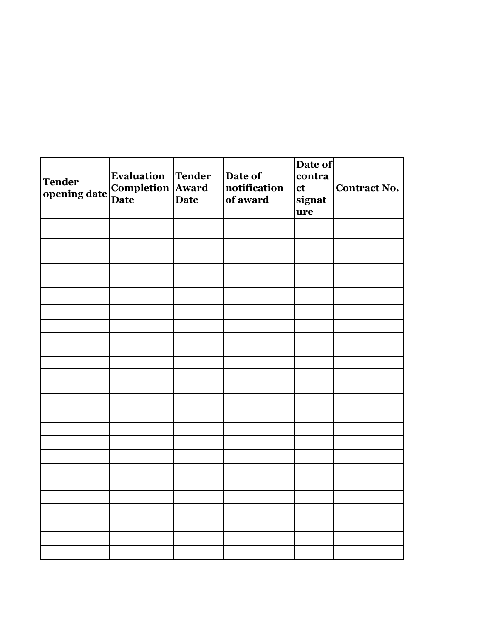| <b>Tender</b><br>opening date | <b>Evaluation Tender</b><br>Completion Award | Date of<br>notification<br>of award | Date of<br>contra<br>ct<br>signat<br>ure | Contract No. |
|-------------------------------|----------------------------------------------|-------------------------------------|------------------------------------------|--------------|
|                               |                                              |                                     |                                          |              |
|                               |                                              |                                     |                                          |              |
|                               |                                              |                                     |                                          |              |
|                               |                                              |                                     |                                          |              |
|                               |                                              |                                     |                                          |              |
|                               |                                              |                                     |                                          |              |
|                               |                                              |                                     |                                          |              |
|                               |                                              |                                     |                                          |              |
|                               |                                              |                                     |                                          |              |
|                               |                                              |                                     |                                          |              |
|                               |                                              |                                     |                                          |              |
|                               |                                              |                                     |                                          |              |
|                               |                                              |                                     |                                          |              |
|                               |                                              |                                     |                                          |              |
|                               |                                              |                                     |                                          |              |
|                               |                                              |                                     |                                          |              |
|                               |                                              |                                     |                                          |              |
|                               |                                              |                                     |                                          |              |
|                               |                                              |                                     |                                          |              |
|                               |                                              |                                     |                                          |              |
|                               |                                              |                                     |                                          |              |
|                               |                                              |                                     |                                          |              |
|                               |                                              |                                     |                                          |              |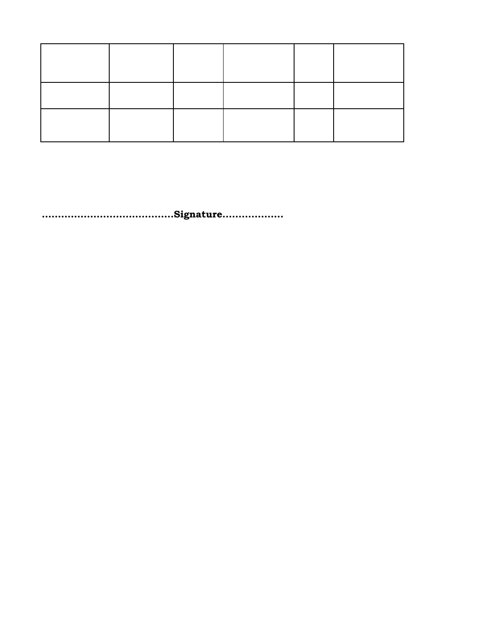**Prepared By: Name……………………………………………….Designation…..………………………………….Signature……………….**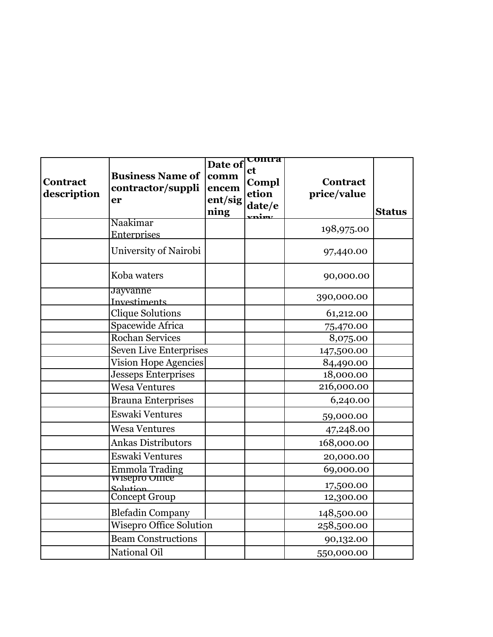| Contract<br>description | <b>Business Name of</b><br>contractor/suppli<br>er | Date of<br>comm<br>encem<br>ent/sig<br>ning | <b>UUILITA</b><br><b>ct</b><br>Compl<br>etion<br>date/e<br><u>vnimz</u> | Contract<br>price/value | <b>Status</b> |
|-------------------------|----------------------------------------------------|---------------------------------------------|-------------------------------------------------------------------------|-------------------------|---------------|
|                         | Naakimar                                           |                                             |                                                                         | 198,975.00              |               |
|                         | Enterprises<br>University of Nairobi               |                                             |                                                                         | 97,440.00               |               |
|                         | Koba waters                                        |                                             |                                                                         | 90,000.00               |               |
|                         | Jayvanne<br>Investiments                           |                                             |                                                                         | 390,000.00              |               |
|                         | <b>Clique Solutions</b>                            |                                             |                                                                         | 61,212.00               |               |
|                         | Spacewide Africa                                   |                                             |                                                                         | 75,470.00               |               |
|                         | Rochan Services                                    |                                             |                                                                         | 8,075.00                |               |
|                         | <b>Seven Live Enterprises</b>                      |                                             |                                                                         | 147,500.00              |               |
|                         | <b>Vision Hope Agencies</b>                        |                                             |                                                                         | 84,490.00               |               |
|                         | <b>Jesseps Enterprises</b>                         |                                             |                                                                         | 18,000.00               |               |
|                         | <b>Wesa Ventures</b>                               |                                             |                                                                         | 216,000.00              |               |
|                         | <b>Brauna Enterprises</b>                          |                                             |                                                                         | 6,240.00                |               |
|                         | Eswaki Ventures                                    |                                             |                                                                         | 59,000.00               |               |
|                         | <b>Wesa Ventures</b>                               |                                             |                                                                         | 47,248.00               |               |
|                         | <b>Ankas Distributors</b>                          |                                             |                                                                         | 168,000.00              |               |
|                         | Eswaki Ventures                                    |                                             |                                                                         | 20,000.00               |               |
|                         | Emmola Trading<br>WISEPTO OITICE                   |                                             |                                                                         | 69,000.00               |               |
|                         | Solution                                           |                                             |                                                                         | 17,500.00               |               |
|                         | Concept Group                                      |                                             |                                                                         | 12,300.00               |               |
|                         | <b>Blefadin Company</b>                            |                                             |                                                                         | 148,500.00              |               |
|                         | <b>Wisepro Office Solution</b>                     |                                             |                                                                         | 258,500.00              |               |
|                         | <b>Beam Constructions</b>                          |                                             |                                                                         | 90,132.00               |               |
|                         | National Oil                                       |                                             |                                                                         | 550,000.00              |               |